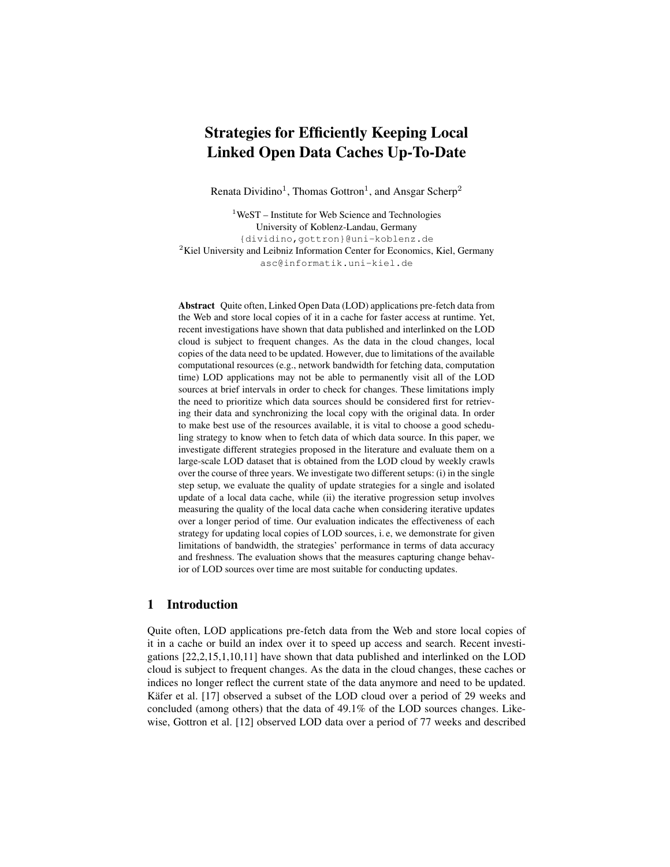# Strategies for Efficiently Keeping Local Linked Open Data Caches Up-To-Date

Renata Dividino<sup>1</sup>, Thomas Gottron<sup>1</sup>, and Ansgar Scherp<sup>2</sup>

 $1$ WeST – Institute for Web Science and Technologies University of Koblenz-Landau, Germany {dividino,gottron}@uni-koblenz.de <sup>2</sup>Kiel University and Leibniz Information Center for Economics, Kiel, Germany asc@informatik.uni-kiel.de

Abstract Quite often, Linked Open Data (LOD) applications pre-fetch data from the Web and store local copies of it in a cache for faster access at runtime. Yet, recent investigations have shown that data published and interlinked on the LOD cloud is subject to frequent changes. As the data in the cloud changes, local copies of the data need to be updated. However, due to limitations of the available computational resources (e.g., network bandwidth for fetching data, computation time) LOD applications may not be able to permanently visit all of the LOD sources at brief intervals in order to check for changes. These limitations imply the need to prioritize which data sources should be considered first for retrieving their data and synchronizing the local copy with the original data. In order to make best use of the resources available, it is vital to choose a good scheduling strategy to know when to fetch data of which data source. In this paper, we investigate different strategies proposed in the literature and evaluate them on a large-scale LOD dataset that is obtained from the LOD cloud by weekly crawls over the course of three years. We investigate two different setups: (i) in the single step setup, we evaluate the quality of update strategies for a single and isolated update of a local data cache, while (ii) the iterative progression setup involves measuring the quality of the local data cache when considering iterative updates over a longer period of time. Our evaluation indicates the effectiveness of each strategy for updating local copies of LOD sources, i. e, we demonstrate for given limitations of bandwidth, the strategies' performance in terms of data accuracy and freshness. The evaluation shows that the measures capturing change behavior of LOD sources over time are most suitable for conducting updates.

### 1 Introduction

Quite often, LOD applications pre-fetch data from the Web and store local copies of it in a cache or build an index over it to speed up access and search. Recent investigations [22,2,15,1,10,11] have shown that data published and interlinked on the LOD cloud is subject to frequent changes. As the data in the cloud changes, these caches or indices no longer reflect the current state of the data anymore and need to be updated. Käfer et al. [17] observed a subset of the LOD cloud over a period of 29 weeks and concluded (among others) that the data of 49.1% of the LOD sources changes. Likewise, Gottron et al. [12] observed LOD data over a period of 77 weeks and described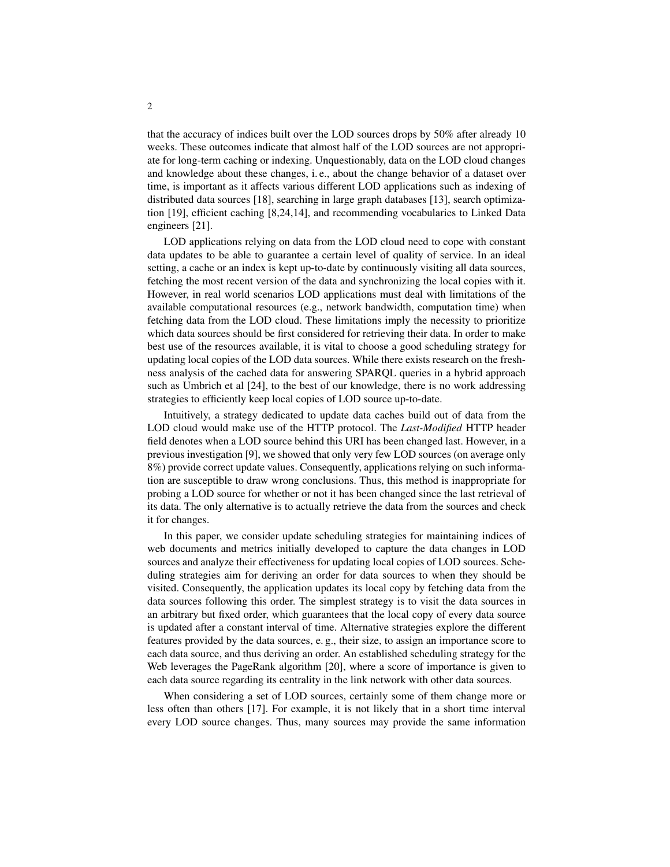that the accuracy of indices built over the LOD sources drops by 50% after already 10 weeks. These outcomes indicate that almost half of the LOD sources are not appropriate for long-term caching or indexing. Unquestionably, data on the LOD cloud changes and knowledge about these changes, i. e., about the change behavior of a dataset over time, is important as it affects various different LOD applications such as indexing of distributed data sources [18], searching in large graph databases [13], search optimization [19], efficient caching [8,24,14], and recommending vocabularies to Linked Data engineers [21].

LOD applications relying on data from the LOD cloud need to cope with constant data updates to be able to guarantee a certain level of quality of service. In an ideal setting, a cache or an index is kept up-to-date by continuously visiting all data sources, fetching the most recent version of the data and synchronizing the local copies with it. However, in real world scenarios LOD applications must deal with limitations of the available computational resources (e.g., network bandwidth, computation time) when fetching data from the LOD cloud. These limitations imply the necessity to prioritize which data sources should be first considered for retrieving their data. In order to make best use of the resources available, it is vital to choose a good scheduling strategy for updating local copies of the LOD data sources. While there exists research on the freshness analysis of the cached data for answering SPARQL queries in a hybrid approach such as Umbrich et al [24], to the best of our knowledge, there is no work addressing strategies to efficiently keep local copies of LOD source up-to-date.

Intuitively, a strategy dedicated to update data caches build out of data from the LOD cloud would make use of the HTTP protocol. The *Last-Modified* HTTP header field denotes when a LOD source behind this URI has been changed last. However, in a previous investigation [9], we showed that only very few LOD sources (on average only 8%) provide correct update values. Consequently, applications relying on such information are susceptible to draw wrong conclusions. Thus, this method is inappropriate for probing a LOD source for whether or not it has been changed since the last retrieval of its data. The only alternative is to actually retrieve the data from the sources and check it for changes.

In this paper, we consider update scheduling strategies for maintaining indices of web documents and metrics initially developed to capture the data changes in LOD sources and analyze their effectiveness for updating local copies of LOD sources. Scheduling strategies aim for deriving an order for data sources to when they should be visited. Consequently, the application updates its local copy by fetching data from the data sources following this order. The simplest strategy is to visit the data sources in an arbitrary but fixed order, which guarantees that the local copy of every data source is updated after a constant interval of time. Alternative strategies explore the different features provided by the data sources, e. g., their size, to assign an importance score to each data source, and thus deriving an order. An established scheduling strategy for the Web leverages the PageRank algorithm [20], where a score of importance is given to each data source regarding its centrality in the link network with other data sources.

When considering a set of LOD sources, certainly some of them change more or less often than others [17]. For example, it is not likely that in a short time interval every LOD source changes. Thus, many sources may provide the same information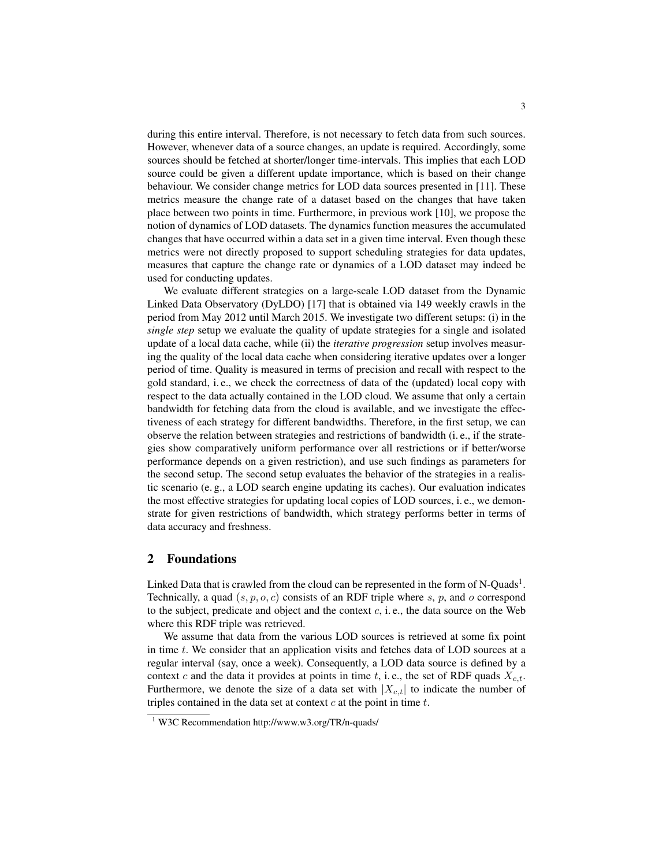during this entire interval. Therefore, is not necessary to fetch data from such sources. However, whenever data of a source changes, an update is required. Accordingly, some sources should be fetched at shorter/longer time-intervals. This implies that each LOD source could be given a different update importance, which is based on their change behaviour. We consider change metrics for LOD data sources presented in [11]. These metrics measure the change rate of a dataset based on the changes that have taken place between two points in time. Furthermore, in previous work [10], we propose the notion of dynamics of LOD datasets. The dynamics function measures the accumulated changes that have occurred within a data set in a given time interval. Even though these metrics were not directly proposed to support scheduling strategies for data updates, measures that capture the change rate or dynamics of a LOD dataset may indeed be used for conducting updates.

We evaluate different strategies on a large-scale LOD dataset from the Dynamic Linked Data Observatory (DyLDO) [17] that is obtained via 149 weekly crawls in the period from May 2012 until March 2015. We investigate two different setups: (i) in the *single step* setup we evaluate the quality of update strategies for a single and isolated update of a local data cache, while (ii) the *iterative progression* setup involves measuring the quality of the local data cache when considering iterative updates over a longer period of time. Quality is measured in terms of precision and recall with respect to the gold standard, i. e., we check the correctness of data of the (updated) local copy with respect to the data actually contained in the LOD cloud. We assume that only a certain bandwidth for fetching data from the cloud is available, and we investigate the effectiveness of each strategy for different bandwidths. Therefore, in the first setup, we can observe the relation between strategies and restrictions of bandwidth (i. e., if the strategies show comparatively uniform performance over all restrictions or if better/worse performance depends on a given restriction), and use such findings as parameters for the second setup. The second setup evaluates the behavior of the strategies in a realistic scenario (e. g., a LOD search engine updating its caches). Our evaluation indicates the most effective strategies for updating local copies of LOD sources, i. e., we demonstrate for given restrictions of bandwidth, which strategy performs better in terms of data accuracy and freshness.

# 2 Foundations

Linked Data that is crawled from the cloud can be represented in the form of N-Quads<sup>1</sup>. Technically, a quad  $(s, p, o, c)$  consists of an RDF triple where s, p, and o correspond to the subject, predicate and object and the context  $c$ , i.e., the data source on the Web where this RDF triple was retrieved.

We assume that data from the various LOD sources is retrieved at some fix point in time  $t$ . We consider that an application visits and fetches data of LOD sources at a regular interval (say, once a week). Consequently, a LOD data source is defined by a context c and the data it provides at points in time t, i.e., the set of RDF quads  $X_{c,t}$ . Furthermore, we denote the size of a data set with  $|X_{c,t}|$  to indicate the number of triples contained in the data set at context  $c$  at the point in time  $t$ .

<sup>1</sup> W3C Recommendation http://www.w3.org/TR/n-quads/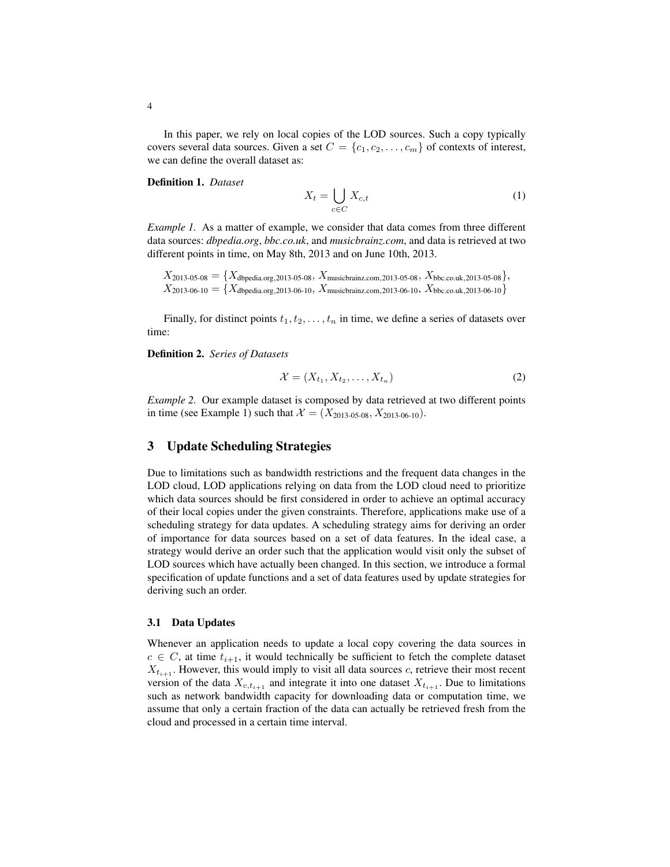In this paper, we rely on local copies of the LOD sources. Such a copy typically covers several data sources. Given a set  $C = \{c_1, c_2, \ldots, c_m\}$  of contexts of interest, we can define the overall dataset as:

Definition 1. *Dataset*

$$
X_t = \bigcup_{c \in C} X_{c,t} \tag{1}
$$

*Example 1.* As a matter of example, we consider that data comes from three different data sources: *dbpedia.org*, *bbc.co.uk*, and *musicbrainz.com*, and data is retrieved at two different points in time, on May 8th, 2013 and on June 10th, 2013.

 $X_{2013-05-08} = \{X_{\text{dbpedia.org},2013-05-08}, X_{\text{musicbrainz.com},2013-05-08}, X_{\text{bbc.co.uk},2013-05-08}\},$  $X_{2013-06-10} = \{X_{\text{dbpedia.org},2013-06-10}, X_{\text{musicbrainz.com},2013-06-10}, X_{\text{bbc.co.uk},2013-06-10}\}$ 

Finally, for distinct points  $t_1, t_2, \ldots, t_n$  in time, we define a series of datasets over time:

Definition 2. *Series of Datasets*

$$
\mathcal{X} = (X_{t_1}, X_{t_2}, \dots, X_{t_n})
$$
\n<sup>(2)</sup>

*Example 2.* Our example dataset is composed by data retrieved at two different points in time (see Example 1) such that  $\mathcal{X} = (X_{2013-05-08}, X_{2013-06-10}).$ 

### 3 Update Scheduling Strategies

Due to limitations such as bandwidth restrictions and the frequent data changes in the LOD cloud, LOD applications relying on data from the LOD cloud need to prioritize which data sources should be first considered in order to achieve an optimal accuracy of their local copies under the given constraints. Therefore, applications make use of a scheduling strategy for data updates. A scheduling strategy aims for deriving an order of importance for data sources based on a set of data features. In the ideal case, a strategy would derive an order such that the application would visit only the subset of LOD sources which have actually been changed. In this section, we introduce a formal specification of update functions and a set of data features used by update strategies for deriving such an order.

#### 3.1 Data Updates

Whenever an application needs to update a local copy covering the data sources in  $c \in C$ , at time  $t_{i+1}$ , it would technically be sufficient to fetch the complete dataset  $X_{t_{i+1}}$ . However, this would imply to visit all data sources c, retrieve their most recent version of the data  $X_{c,t_{i+1}}$  and integrate it into one dataset  $X_{t_{i+1}}$ . Due to limitations such as network bandwidth capacity for downloading data or computation time, we assume that only a certain fraction of the data can actually be retrieved fresh from the cloud and processed in a certain time interval.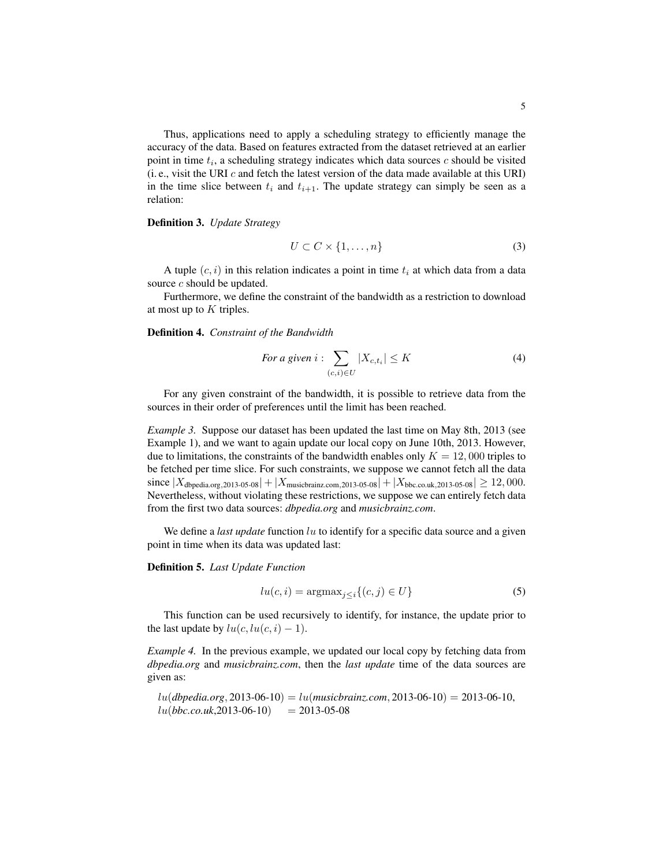Thus, applications need to apply a scheduling strategy to efficiently manage the accuracy of the data. Based on features extracted from the dataset retrieved at an earlier point in time  $t_i$ , a scheduling strategy indicates which data sources  $c$  should be visited (i. e., visit the URI  $c$  and fetch the latest version of the data made available at this URI) in the time slice between  $t_i$  and  $t_{i+1}$ . The update strategy can simply be seen as a relation:

### Definition 3. *Update Strategy*

$$
U \subset C \times \{1, \dots, n\} \tag{3}
$$

A tuple  $(c, i)$  in this relation indicates a point in time  $t_i$  at which data from a data source c should be updated.

Furthermore, we define the constraint of the bandwidth as a restriction to download at most up to  $K$  triples.

Definition 4. *Constraint of the Bandwidth*

For a given 
$$
i: \sum_{(c,i)\in U} |X_{c,t_i}| \le K
$$
 (4)

For any given constraint of the bandwidth, it is possible to retrieve data from the sources in their order of preferences until the limit has been reached.

*Example 3.* Suppose our dataset has been updated the last time on May 8th, 2013 (see Example 1), and we want to again update our local copy on June 10th, 2013. However, due to limitations, the constraints of the bandwidth enables only  $K = 12,000$  triples to be fetched per time slice. For such constraints, we suppose we cannot fetch all the data since  $|X_{\text{dbpedia.org},2013-05-08}| + |X_{\text{musicbrainz.com},2013-05-08}| + |X_{\text{bbc.co.uk},2013-05-08}| \ge 12,000$ . Nevertheless, without violating these restrictions, we suppose we can entirely fetch data from the first two data sources: *dbpedia.org* and *musicbrainz.com*.

We define a *last update* function lu to identify for a specific data source and a given point in time when its data was updated last:

Definition 5. *Last Update Function*

$$
lu(c, i) = \operatorname{argmax}_{j \leq i} \{ (c, j) \in U \}
$$
\n<sup>(5)</sup>

This function can be used recursively to identify, for instance, the update prior to the last update by  $lu(c, lu(c, i) - 1)$ .

*Example 4.* In the previous example, we updated our local copy by fetching data from *dbpedia.org* and *musicbrainz.com*, then the *last update* time of the data sources are given as:

 $lu(dbpedia.org, 2013-06-10) = lu(musichrainz.com, 2013-06-10) = 2013-06-10,$  $lu(bbc.co.uk, 2013-06-10) = 2013-05-08$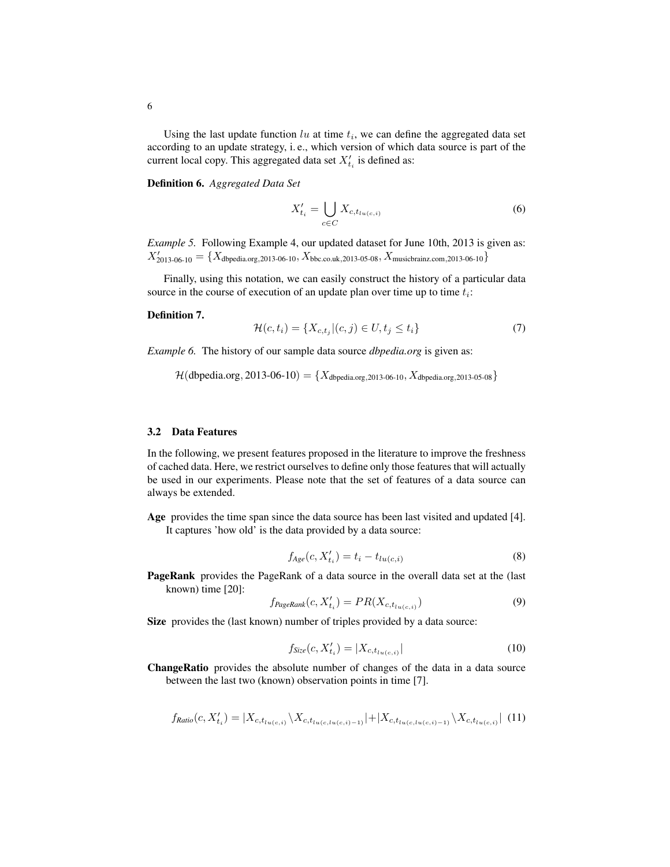Using the last update function  $lu$  at time  $t_i$ , we can define the aggregated data set according to an update strategy, i. e., which version of which data source is part of the current local copy. This aggregated data set  $X'_{t_i}$  is defined as:

Definition 6. *Aggregated Data Set*

$$
X'_{t_i} = \bigcup_{c \in C} X_{c, t_{lu(c, i)}}
$$
\n
$$
\tag{6}
$$

*Example 5.* Following Example 4, our updated dataset for June 10th, 2013 is given as:  $X'_{\text{2013-06-10}} = \{X_{\text{dbpedia.org},2013-06-10}, X_{\text{bbc.co.uk},2013-05-08}, X_{\text{musicbrainz.com},2013-06-10}\}$ 

Finally, using this notation, we can easily construct the history of a particular data source in the course of execution of an update plan over time up to time  $t_i$ :

#### Definition 7.

$$
\mathcal{H}(c, t_i) = \{X_{c,t_j}|(c,j) \in U, t_j \le t_i\}
$$
\n
$$
(7)
$$

*Example 6.* The history of our sample data source *dbpedia.org* is given as:

$$
\mathcal{H}(\text{dbpedia.org}, 2013-06-10) = \{X_{\text{dbpedia.org}, 2013-06-10}, X_{\text{dbpedia.org}, 2013-05-08}\}
$$

### 3.2 Data Features

In the following, we present features proposed in the literature to improve the freshness of cached data. Here, we restrict ourselves to define only those features that will actually be used in our experiments. Please note that the set of features of a data source can always be extended.

Age provides the time span since the data source has been last visited and updated [4]. It captures 'how old' is the data provided by a data source:

$$
f_{Age}(c, X'_{t_i}) = t_i - t_{lu(c,i)}
$$
\n(8)

PageRank provides the PageRank of a data source in the overall data set at the (last known) time [20]:

$$
f_{PageRank}(c, X'_{t_i}) = PR(X_{c, t_{lu(c,i)}})
$$
\n(9)

Size provides the (last known) number of triples provided by a data source:

$$
f_{\text{Size}}(c, X'_{t_i}) = |X_{c, t_{\text{iu}(c, i)}}| \tag{10}
$$

ChangeRatio provides the absolute number of changes of the data in a data source between the last two (known) observation points in time [7].

$$
f_{Ratio}(c, X'_{t_i}) = |X_{c, t_{lu(c, i)}} \setminus X_{c, t_{lu(c, lu(c, i) - 1)}}| + |X_{c, t_{lu(c, lu(c, i) - 1)}} \setminus X_{c, t_{lu(c, i)}}| \tag{11}
$$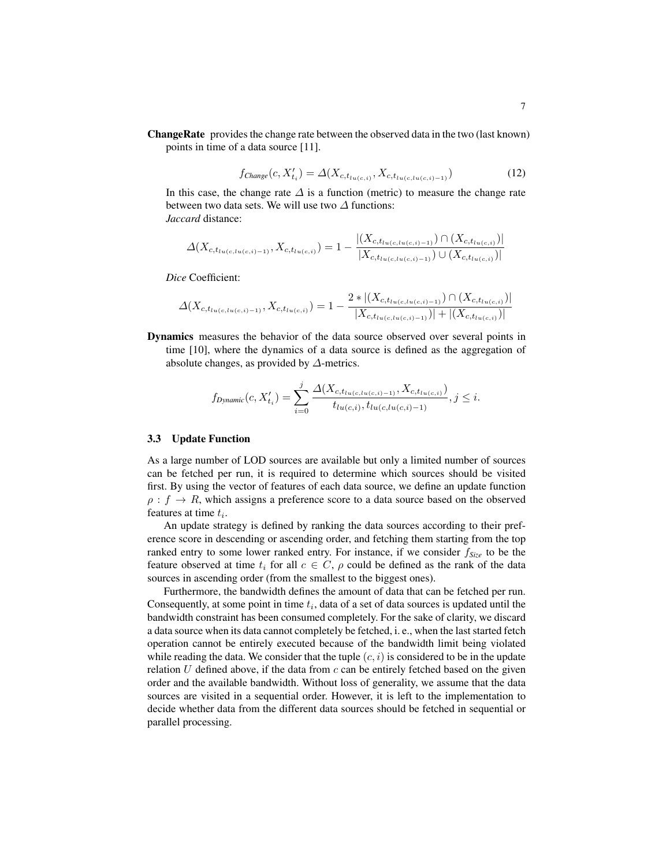ChangeRate provides the change rate between the observed data in the two (last known) points in time of a data source [11].

$$
f_{Change}(c, X'_{t_i}) = \Delta(X_{c, t_{lu(c, i)}}, X_{c, t_{lu(c, lu(c, i) - 1)}})
$$
\n(12)

In this case, the change rate  $\Delta$  is a function (metric) to measure the change rate between two data sets. We will use two  $\Delta$  functions: *Jaccard* distance:

$$
\Delta(X_{c,t_{lu(c,lu(c,i)-1)}}, X_{c,t_{lu(c,i)}}) = 1 - \frac{|(X_{c,t_{lu(c,lu(c,i)-1)}}) \cap (X_{c,t_{lu(c,i)}})|}{|X_{c,t_{lu(c,lu(c,i)-1)}}) \cup (X_{c,t_{lu(c,i)}})|}
$$

*Dice* Coefficient:

$$
\Delta(X_{c,t_{lu(c,lu(c,i)-1)}},X_{c,t_{lu(c,i)}}) = 1 - \frac{2 * |(X_{c,t_{lu(c,lu(c,i)-1)}}) \cap (X_{c,t_{lu(c,i)}})|}{|X_{c,t_{lu(c,lu(c,i)-1)}})| + |(X_{c,t_{lu(c,i)}})|}
$$

Dynamics measures the behavior of the data source observed over several points in time [10], where the dynamics of a data source is defined as the aggregation of absolute changes, as provided by  $\Delta$ -metrics.

$$
f_{Dynamic}(c, X'_{t_i}) = \sum_{i=0}^{j} \frac{\Delta(X_{c, t_{lu(c, l u(c, i) - 1)}}, X_{c, t_{lu(c, i)}})}{t_{lu(c, i)}, t_{lu(c, lu(c, i) - 1)}}, j \leq i.
$$

#### 3.3 Update Function

As a large number of LOD sources are available but only a limited number of sources can be fetched per run, it is required to determine which sources should be visited first. By using the vector of features of each data source, we define an update function  $\rho$ :  $f \rightarrow R$ , which assigns a preference score to a data source based on the observed features at time  $t_i$ .

An update strategy is defined by ranking the data sources according to their preference score in descending or ascending order, and fetching them starting from the top ranked entry to some lower ranked entry. For instance, if we consider f*Size* to be the feature observed at time  $t_i$  for all  $c \in C$ ,  $\rho$  could be defined as the rank of the data sources in ascending order (from the smallest to the biggest ones).

Furthermore, the bandwidth defines the amount of data that can be fetched per run. Consequently, at some point in time  $t_i$ , data of a set of data sources is updated until the bandwidth constraint has been consumed completely. For the sake of clarity, we discard a data source when its data cannot completely be fetched, i. e., when the last started fetch operation cannot be entirely executed because of the bandwidth limit being violated while reading the data. We consider that the tuple  $(c, i)$  is considered to be in the update relation U defined above, if the data from  $c$  can be entirely fetched based on the given order and the available bandwidth. Without loss of generality, we assume that the data sources are visited in a sequential order. However, it is left to the implementation to decide whether data from the different data sources should be fetched in sequential or parallel processing.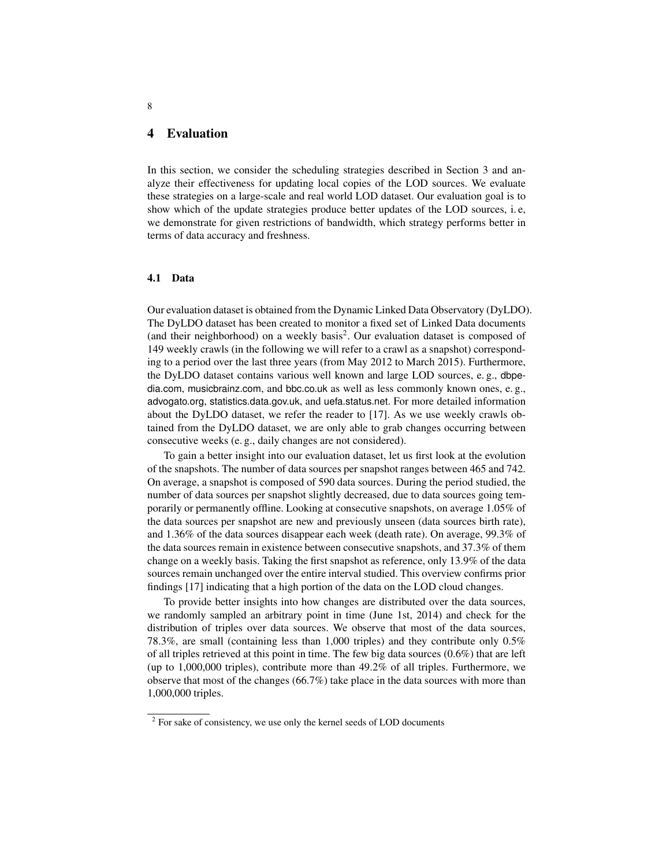### 4 Evaluation

In this section, we consider the scheduling strategies described in Section 3 and analyze their effectiveness for updating local copies of the LOD sources. We evaluate these strategies on a large-scale and real world LOD dataset. Our evaluation goal is to show which of the update strategies produce better updates of the LOD sources, i. e, we demonstrate for given restrictions of bandwidth, which strategy performs better in terms of data accuracy and freshness.

### 4.1 Data

Our evaluation dataset is obtained from the Dynamic Linked Data Observatory (DyLDO). The DyLDO dataset has been created to monitor a fixed set of Linked Data documents (and their neighborhood) on a weekly basis<sup>2</sup>. Our evaluation dataset is composed of 149 weekly crawls (in the following we will refer to a crawl as a snapshot) corresponding to a period over the last three years (from May 2012 to March 2015). Furthermore, the DyLDO dataset contains various well known and large LOD sources, e. g., dbpedia.com, musicbrainz.com, and bbc.co.uk as well as less commonly known ones, e. g., advogato.org, statistics.data.gov.uk, and uefa.status.net. For more detailed information about the DyLDO dataset, we refer the reader to [17]. As we use weekly crawls obtained from the DyLDO dataset, we are only able to grab changes occurring between consecutive weeks (e. g., daily changes are not considered).

To gain a better insight into our evaluation dataset, let us first look at the evolution of the snapshots. The number of data sources per snapshot ranges between 465 and 742. On average, a snapshot is composed of 590 data sources. During the period studied, the number of data sources per snapshot slightly decreased, due to data sources going temporarily or permanently offline. Looking at consecutive snapshots, on average 1.05% of the data sources per snapshot are new and previously unseen (data sources birth rate), and 1.36% of the data sources disappear each week (death rate). On average, 99.3% of the data sources remain in existence between consecutive snapshots, and 37.3% of them change on a weekly basis. Taking the first snapshot as reference, only 13.9% of the data sources remain unchanged over the entire interval studied. This overview confirms prior findings [17] indicating that a high portion of the data on the LOD cloud changes.

To provide better insights into how changes are distributed over the data sources, we randomly sampled an arbitrary point in time (June 1st, 2014) and check for the distribution of triples over data sources. We observe that most of the data sources, 78.3%, are small (containing less than 1,000 triples) and they contribute only 0.5% of all triples retrieved at this point in time. The few big data sources (0.6%) that are left (up to 1,000,000 triples), contribute more than 49.2% of all triples. Furthermore, we observe that most of the changes (66.7%) take place in the data sources with more than 1,000,000 triples.

8

 $2^2$  For sake of consistency, we use only the kernel seeds of LOD documents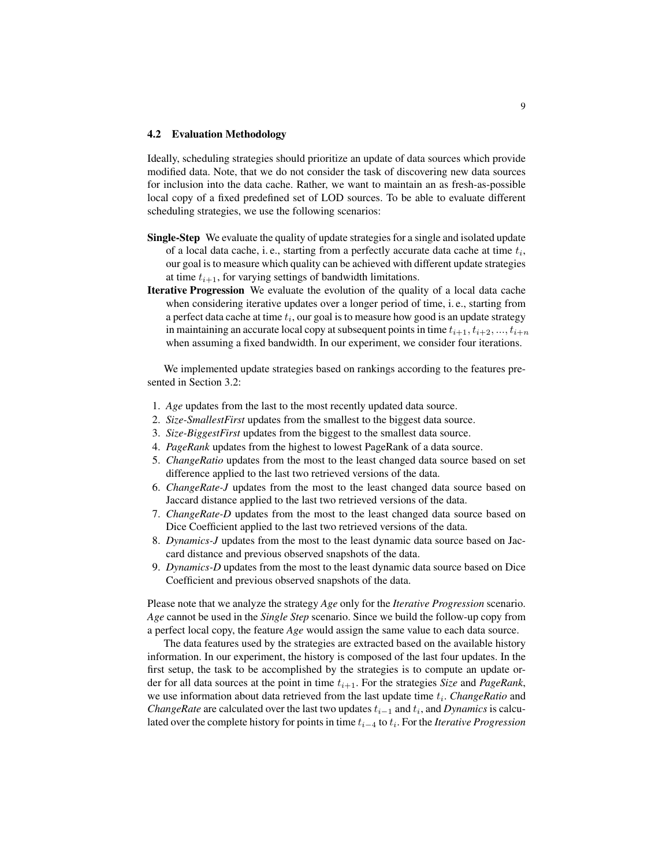#### 4.2 Evaluation Methodology

Ideally, scheduling strategies should prioritize an update of data sources which provide modified data. Note, that we do not consider the task of discovering new data sources for inclusion into the data cache. Rather, we want to maintain an as fresh-as-possible local copy of a fixed predefined set of LOD sources. To be able to evaluate different scheduling strategies, we use the following scenarios:

- Single-Step We evaluate the quality of update strategies for a single and isolated update of a local data cache, i.e., starting from a perfectly accurate data cache at time  $t_i$ , our goal is to measure which quality can be achieved with different update strategies at time  $t_{i+1}$ , for varying settings of bandwidth limitations.
- Iterative Progression We evaluate the evolution of the quality of a local data cache when considering iterative updates over a longer period of time, i. e., starting from a perfect data cache at time  $t_i$ , our goal is to measure how good is an update strategy in maintaining an accurate local copy at subsequent points in time  $t_{i+1}, t_{i+2}, ..., t_{i+n}$ when assuming a fixed bandwidth. In our experiment, we consider four iterations.

We implemented update strategies based on rankings according to the features presented in Section 3.2:

- 1. *Age* updates from the last to the most recently updated data source.
- 2. *Size-SmallestFirst* updates from the smallest to the biggest data source.
- 3. *Size-BiggestFirst* updates from the biggest to the smallest data source.
- 4. *PageRank* updates from the highest to lowest PageRank of a data source.
- 5. *ChangeRatio* updates from the most to the least changed data source based on set difference applied to the last two retrieved versions of the data.
- 6. *ChangeRate-J* updates from the most to the least changed data source based on Jaccard distance applied to the last two retrieved versions of the data.
- 7. *ChangeRate-D* updates from the most to the least changed data source based on Dice Coefficient applied to the last two retrieved versions of the data.
- 8. *Dynamics-J* updates from the most to the least dynamic data source based on Jaccard distance and previous observed snapshots of the data.
- 9. *Dynamics-D* updates from the most to the least dynamic data source based on Dice Coefficient and previous observed snapshots of the data.

Please note that we analyze the strategy *Age* only for the *Iterative Progression* scenario. *Age* cannot be used in the *Single Step* scenario. Since we build the follow-up copy from a perfect local copy, the feature *Age* would assign the same value to each data source.

The data features used by the strategies are extracted based on the available history information. In our experiment, the history is composed of the last four updates. In the first setup, the task to be accomplished by the strategies is to compute an update order for all data sources at the point in time  $t_{i+1}$ . For the strategies *Size* and *PageRank*, we use information about data retrieved from the last update time  $t_i$ . *ChangeRatio* and *ChangeRate* are calculated over the last two updates  $t_{i-1}$  and  $t_i$ , and *Dynamics* is calculated over the complete history for points in time  $t_{i-4}$  to  $t_i$ . For the *Iterative Progression*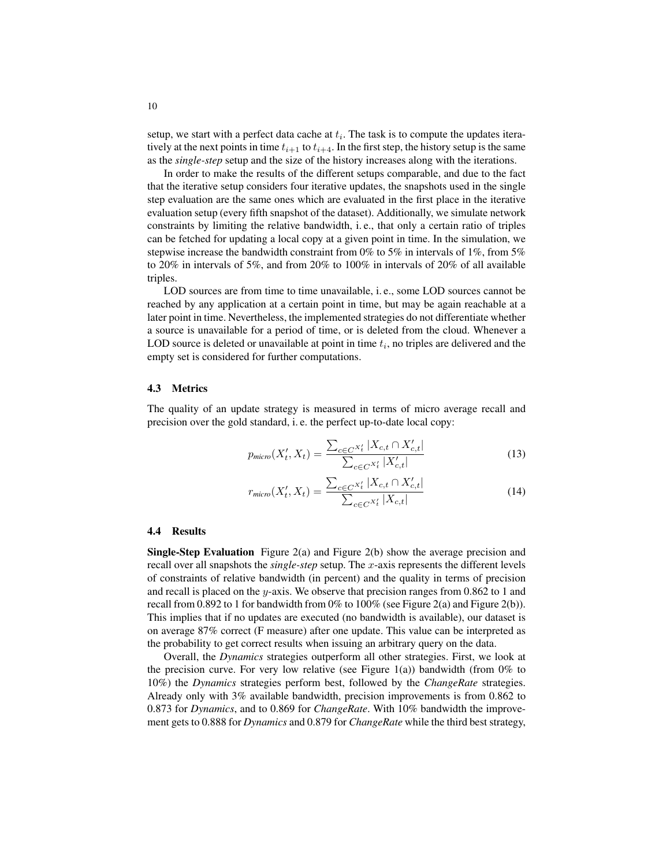setup, we start with a perfect data cache at  $t_i$ . The task is to compute the updates iteratively at the next points in time  $t_{i+1}$  to  $t_{i+4}$ . In the first step, the history setup is the same as the *single-step* setup and the size of the history increases along with the iterations.

In order to make the results of the different setups comparable, and due to the fact that the iterative setup considers four iterative updates, the snapshots used in the single step evaluation are the same ones which are evaluated in the first place in the iterative evaluation setup (every fifth snapshot of the dataset). Additionally, we simulate network constraints by limiting the relative bandwidth, i. e., that only a certain ratio of triples can be fetched for updating a local copy at a given point in time. In the simulation, we stepwise increase the bandwidth constraint from  $0\%$  to 5% in intervals of 1%, from 5% to 20% in intervals of 5%, and from 20% to 100% in intervals of 20% of all available triples.

LOD sources are from time to time unavailable, i. e., some LOD sources cannot be reached by any application at a certain point in time, but may be again reachable at a later point in time. Nevertheless, the implemented strategies do not differentiate whether a source is unavailable for a period of time, or is deleted from the cloud. Whenever a LOD source is deleted or unavailable at point in time  $t_i$ , no triples are delivered and the empty set is considered for further computations.

### 4.3 Metrics

The quality of an update strategy is measured in terms of micro average recall and precision over the gold standard, i. e. the perfect up-to-date local copy:

$$
p_{micro}(X'_t, X_t) = \frac{\sum_{c \in C} x'_t |X_{c,t} \cap X'_{c,t}|}{\sum_{c \in C} x'_t |X'_{c,t}|}
$$
(13)

$$
r_{micro}(X'_t, X_t) = \frac{\sum_{c \in C} x'_t |X_{c,t} \cap X'_{c,t}|}{\sum_{c \in C} x'_t |X_{c,t}|}
$$
(14)

#### 4.4 Results

**Single-Step Evaluation** Figure  $2(a)$  and Figure  $2(b)$  show the average precision and recall over all snapshots the *single-step* setup. The *x*-axis represents the different levels of constraints of relative bandwidth (in percent) and the quality in terms of precision and recall is placed on the y-axis. We observe that precision ranges from 0.862 to 1 and recall from 0.892 to 1 for bandwidth from 0% to  $100\%$  (see Figure 2(a) and Figure 2(b)). This implies that if no updates are executed (no bandwidth is available), our dataset is on average 87% correct (F measure) after one update. This value can be interpreted as the probability to get correct results when issuing an arbitrary query on the data.

Overall, the *Dynamics* strategies outperform all other strategies. First, we look at the precision curve. For very low relative (see Figure 1(a)) bandwidth (from  $0\%$  to 10%) the *Dynamics* strategies perform best, followed by the *ChangeRate* strategies. Already only with 3% available bandwidth, precision improvements is from 0.862 to 0.873 for *Dynamics*, and to 0.869 for *ChangeRate*. With 10% bandwidth the improvement gets to 0.888 for *Dynamics* and 0.879 for *ChangeRate* while the third best strategy,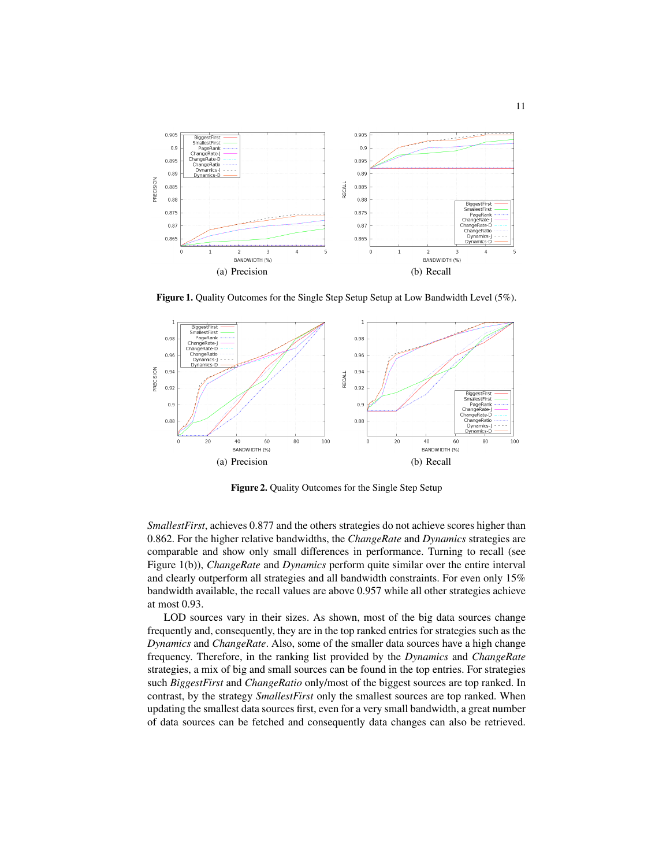

Figure 1. Quality Outcomes for the Single Step Setup Setup at Low Bandwidth Level (5%).



Figure 2. Quality Outcomes for the Single Step Setup

*SmallestFirst*, achieves 0.877 and the others strategies do not achieve scores higher than 0.862. For the higher relative bandwidths, the *ChangeRate* and *Dynamics* strategies are comparable and show only small differences in performance. Turning to recall (see Figure 1(b)), *ChangeRate* and *Dynamics* perform quite similar over the entire interval and clearly outperform all strategies and all bandwidth constraints. For even only 15% bandwidth available, the recall values are above 0.957 while all other strategies achieve at most 0.93.

LOD sources vary in their sizes. As shown, most of the big data sources change frequently and, consequently, they are in the top ranked entries for strategies such as the *Dynamics* and *ChangeRate*. Also, some of the smaller data sources have a high change frequency. Therefore, in the ranking list provided by the *Dynamics* and *ChangeRate* strategies, a mix of big and small sources can be found in the top entries. For strategies such *BiggestFirst* and *ChangeRatio* only/most of the biggest sources are top ranked. In contrast, by the strategy *SmallestFirst* only the smallest sources are top ranked. When updating the smallest data sources first, even for a very small bandwidth, a great number of data sources can be fetched and consequently data changes can also be retrieved.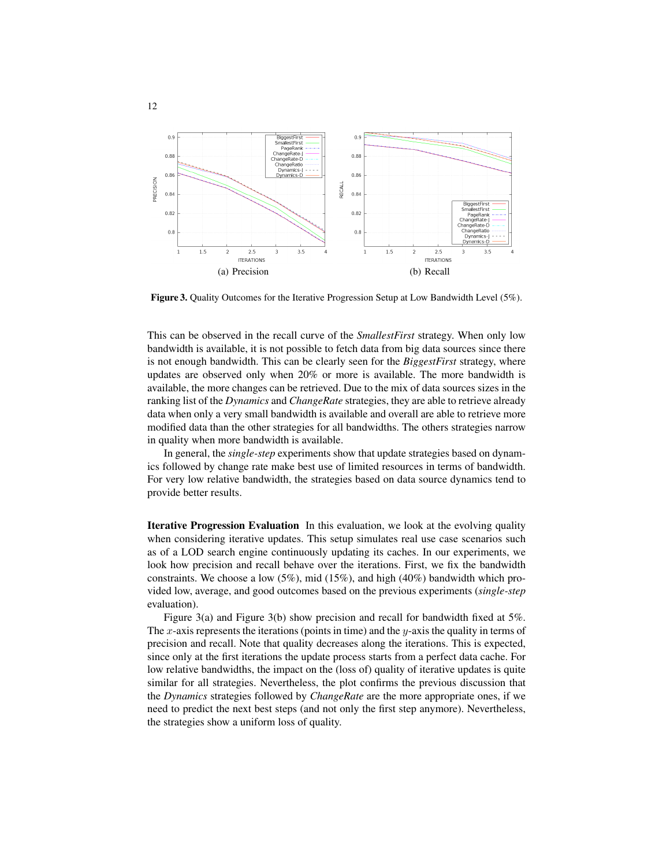

Figure 3. Quality Outcomes for the Iterative Progression Setup at Low Bandwidth Level (5%).

This can be observed in the recall curve of the *SmallestFirst* strategy. When only low bandwidth is available, it is not possible to fetch data from big data sources since there is not enough bandwidth. This can be clearly seen for the *BiggestFirst* strategy, where updates are observed only when 20% or more is available. The more bandwidth is available, the more changes can be retrieved. Due to the mix of data sources sizes in the ranking list of the *Dynamics* and *ChangeRate* strategies, they are able to retrieve already data when only a very small bandwidth is available and overall are able to retrieve more modified data than the other strategies for all bandwidths. The others strategies narrow in quality when more bandwidth is available.

In general, the *single-step* experiments show that update strategies based on dynamics followed by change rate make best use of limited resources in terms of bandwidth. For very low relative bandwidth, the strategies based on data source dynamics tend to provide better results.

Iterative Progression Evaluation In this evaluation, we look at the evolving quality when considering iterative updates. This setup simulates real use case scenarios such as of a LOD search engine continuously updating its caches. In our experiments, we look how precision and recall behave over the iterations. First, we fix the bandwidth constraints. We choose a low (5%), mid (15%), and high (40%) bandwidth which provided low, average, and good outcomes based on the previous experiments (*single-step* evaluation).

Figure 3(a) and Figure 3(b) show precision and recall for bandwidth fixed at 5%. The x-axis represents the iterations (points in time) and the  $y$ -axis the quality in terms of precision and recall. Note that quality decreases along the iterations. This is expected, since only at the first iterations the update process starts from a perfect data cache. For low relative bandwidths, the impact on the (loss of) quality of iterative updates is quite similar for all strategies. Nevertheless, the plot confirms the previous discussion that the *Dynamics* strategies followed by *ChangeRate* are the more appropriate ones, if we need to predict the next best steps (and not only the first step anymore). Nevertheless, the strategies show a uniform loss of quality.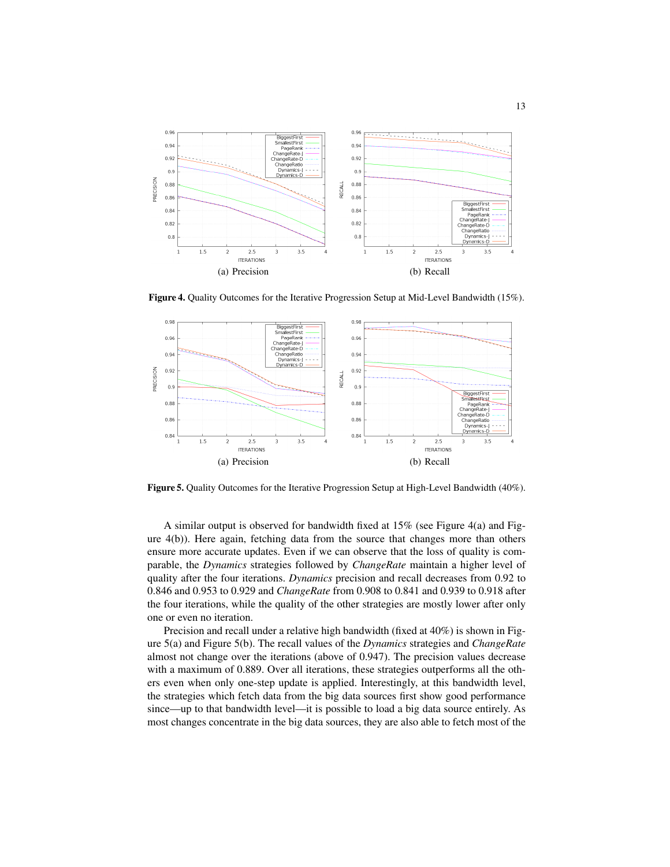

Figure 4. Quality Outcomes for the Iterative Progression Setup at Mid-Level Bandwidth (15%).



Figure 5. Quality Outcomes for the Iterative Progression Setup at High-Level Bandwidth (40%).

A similar output is observed for bandwidth fixed at 15% (see Figure 4(a) and Figure 4(b)). Here again, fetching data from the source that changes more than others ensure more accurate updates. Even if we can observe that the loss of quality is comparable, the *Dynamics* strategies followed by *ChangeRate* maintain a higher level of quality after the four iterations. *Dynamics* precision and recall decreases from 0.92 to 0.846 and 0.953 to 0.929 and *ChangeRate* from 0.908 to 0.841 and 0.939 to 0.918 after the four iterations, while the quality of the other strategies are mostly lower after only one or even no iteration.

Precision and recall under a relative high bandwidth (fixed at 40%) is shown in Figure 5(a) and Figure 5(b). The recall values of the *Dynamics* strategies and *ChangeRate* almost not change over the iterations (above of 0.947). The precision values decrease with a maximum of 0.889. Over all iterations, these strategies outperforms all the others even when only one-step update is applied. Interestingly, at this bandwidth level, the strategies which fetch data from the big data sources first show good performance since—up to that bandwidth level—it is possible to load a big data source entirely. As most changes concentrate in the big data sources, they are also able to fetch most of the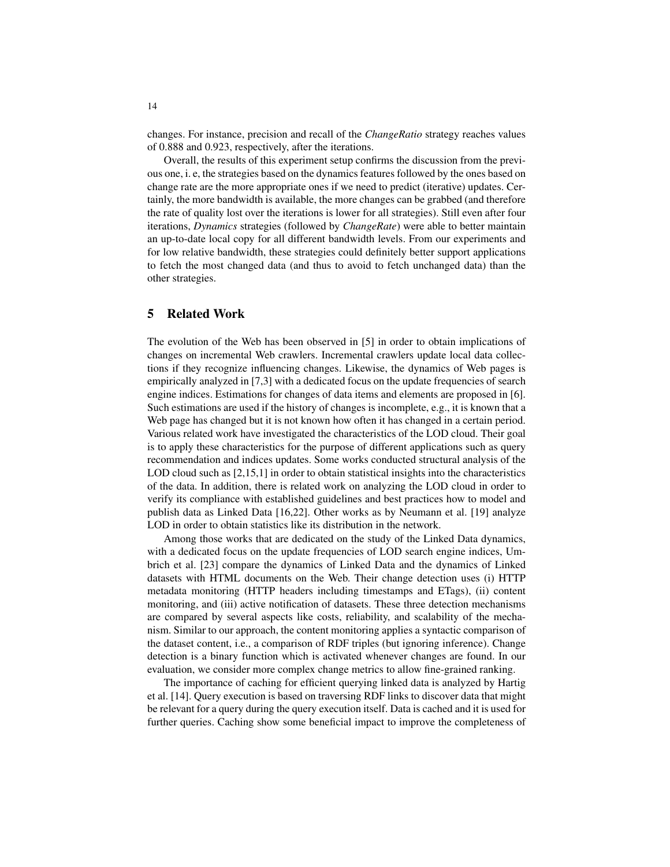changes. For instance, precision and recall of the *ChangeRatio* strategy reaches values of 0.888 and 0.923, respectively, after the iterations.

Overall, the results of this experiment setup confirms the discussion from the previous one, i. e, the strategies based on the dynamics features followed by the ones based on change rate are the more appropriate ones if we need to predict (iterative) updates. Certainly, the more bandwidth is available, the more changes can be grabbed (and therefore the rate of quality lost over the iterations is lower for all strategies). Still even after four iterations, *Dynamics* strategies (followed by *ChangeRate*) were able to better maintain an up-to-date local copy for all different bandwidth levels. From our experiments and for low relative bandwidth, these strategies could definitely better support applications to fetch the most changed data (and thus to avoid to fetch unchanged data) than the other strategies.

# 5 Related Work

The evolution of the Web has been observed in [5] in order to obtain implications of changes on incremental Web crawlers. Incremental crawlers update local data collections if they recognize influencing changes. Likewise, the dynamics of Web pages is empirically analyzed in [7,3] with a dedicated focus on the update frequencies of search engine indices. Estimations for changes of data items and elements are proposed in [6]. Such estimations are used if the history of changes is incomplete, e.g., it is known that a Web page has changed but it is not known how often it has changed in a certain period. Various related work have investigated the characteristics of the LOD cloud. Their goal is to apply these characteristics for the purpose of different applications such as query recommendation and indices updates. Some works conducted structural analysis of the LOD cloud such as  $[2,15,1]$  in order to obtain statistical insights into the characteristics of the data. In addition, there is related work on analyzing the LOD cloud in order to verify its compliance with established guidelines and best practices how to model and publish data as Linked Data [16,22]. Other works as by Neumann et al. [19] analyze LOD in order to obtain statistics like its distribution in the network.

Among those works that are dedicated on the study of the Linked Data dynamics, with a dedicated focus on the update frequencies of LOD search engine indices, Umbrich et al. [23] compare the dynamics of Linked Data and the dynamics of Linked datasets with HTML documents on the Web. Their change detection uses (i) HTTP metadata monitoring (HTTP headers including timestamps and ETags), (ii) content monitoring, and (iii) active notification of datasets. These three detection mechanisms are compared by several aspects like costs, reliability, and scalability of the mechanism. Similar to our approach, the content monitoring applies a syntactic comparison of the dataset content, i.e., a comparison of RDF triples (but ignoring inference). Change detection is a binary function which is activated whenever changes are found. In our evaluation, we consider more complex change metrics to allow fine-grained ranking.

The importance of caching for efficient querying linked data is analyzed by Hartig et al. [14]. Query execution is based on traversing RDF links to discover data that might be relevant for a query during the query execution itself. Data is cached and it is used for further queries. Caching show some beneficial impact to improve the completeness of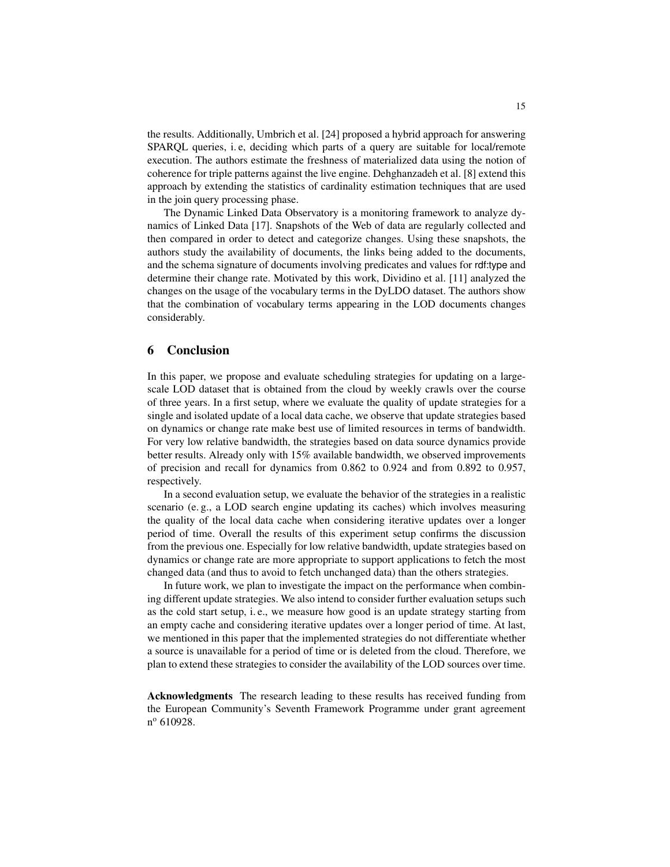the results. Additionally, Umbrich et al. [24] proposed a hybrid approach for answering SPARQL queries, i. e, deciding which parts of a query are suitable for local/remote execution. The authors estimate the freshness of materialized data using the notion of coherence for triple patterns against the live engine. Dehghanzadeh et al. [8] extend this approach by extending the statistics of cardinality estimation techniques that are used in the join query processing phase.

The Dynamic Linked Data Observatory is a monitoring framework to analyze dynamics of Linked Data [17]. Snapshots of the Web of data are regularly collected and then compared in order to detect and categorize changes. Using these snapshots, the authors study the availability of documents, the links being added to the documents, and the schema signature of documents involving predicates and values for rdf:type and determine their change rate. Motivated by this work, Dividino et al. [11] analyzed the changes on the usage of the vocabulary terms in the DyLDO dataset. The authors show that the combination of vocabulary terms appearing in the LOD documents changes considerably.

### 6 Conclusion

In this paper, we propose and evaluate scheduling strategies for updating on a largescale LOD dataset that is obtained from the cloud by weekly crawls over the course of three years. In a first setup, where we evaluate the quality of update strategies for a single and isolated update of a local data cache, we observe that update strategies based on dynamics or change rate make best use of limited resources in terms of bandwidth. For very low relative bandwidth, the strategies based on data source dynamics provide better results. Already only with 15% available bandwidth, we observed improvements of precision and recall for dynamics from 0.862 to 0.924 and from 0.892 to 0.957, respectively.

In a second evaluation setup, we evaluate the behavior of the strategies in a realistic scenario (e. g., a LOD search engine updating its caches) which involves measuring the quality of the local data cache when considering iterative updates over a longer period of time. Overall the results of this experiment setup confirms the discussion from the previous one. Especially for low relative bandwidth, update strategies based on dynamics or change rate are more appropriate to support applications to fetch the most changed data (and thus to avoid to fetch unchanged data) than the others strategies.

In future work, we plan to investigate the impact on the performance when combining different update strategies. We also intend to consider further evaluation setups such as the cold start setup, i. e., we measure how good is an update strategy starting from an empty cache and considering iterative updates over a longer period of time. At last, we mentioned in this paper that the implemented strategies do not differentiate whether a source is unavailable for a period of time or is deleted from the cloud. Therefore, we plan to extend these strategies to consider the availability of the LOD sources over time.

Acknowledgments The research leading to these results has received funding from the European Community's Seventh Framework Programme under grant agreement n <sup>o</sup> 610928.